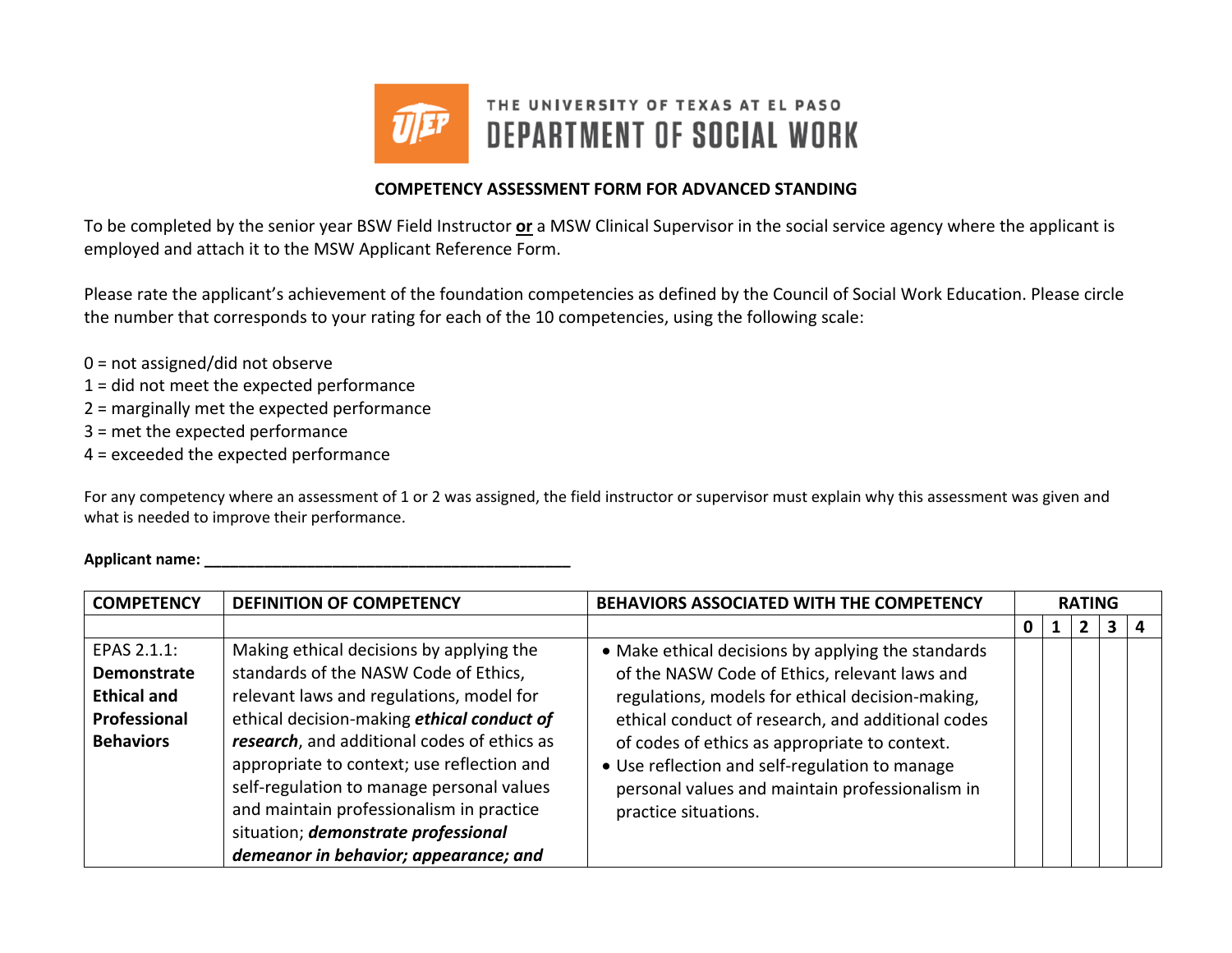

## **COMPETENCY ASSESSMENT FORM FOR ADVANCED STANDING**

To be completed by the senior year BSW Field Instructor **or** <sup>a</sup> MSW Clinical Supervisor in the social service agency where the applicant is employed and attach it to the MSW Applicant Reference Form.

Please rate the applicant's achievement of the foundation competencies as defined by the Council of Social Work Education. Please circle the number that corresponds to your rating for each of the 10 competencies, using the following scale:

- 0 <sup>=</sup> not assigned/did not observe
- 1 <sup>=</sup> did not meet the expected performance
- 2 <sup>=</sup> marginally met the expected performance
- 3 <sup>=</sup> met the expected performance
- 4 <sup>=</sup> exceeded the expected performance

For any competency where an assessment of 1 or 2 was assigned, the field instructor or supervisor must explain why this assessment was given and what is needed to improve their performance.

## **Applicant name: \_\_\_\_\_\_\_\_\_\_\_\_\_\_\_\_\_\_\_\_\_\_\_\_\_\_\_\_\_\_\_\_\_\_\_\_\_\_\_\_\_\_\_**

| <b>COMPETENCY</b>                                                                           | BEHAVIORS ASSOCIATED WITH THE COMPETENCY<br><b>DEFINITION OF COMPETENCY</b>                                                                                                                                                                                                                                                                                                                                                                       |                                                                                                                                                                                                                                                                                                                                                                                            |   | <b>RATING</b> |  |    |  |  |
|---------------------------------------------------------------------------------------------|---------------------------------------------------------------------------------------------------------------------------------------------------------------------------------------------------------------------------------------------------------------------------------------------------------------------------------------------------------------------------------------------------------------------------------------------------|--------------------------------------------------------------------------------------------------------------------------------------------------------------------------------------------------------------------------------------------------------------------------------------------------------------------------------------------------------------------------------------------|---|---------------|--|----|--|--|
|                                                                                             |                                                                                                                                                                                                                                                                                                                                                                                                                                                   |                                                                                                                                                                                                                                                                                                                                                                                            | 0 |               |  | 3. |  |  |
| EPAS 2.1.1:<br><b>Demonstrate</b><br><b>Ethical and</b><br>Professional<br><b>Behaviors</b> | Making ethical decisions by applying the<br>standards of the NASW Code of Ethics,<br>relevant laws and regulations, model for<br>ethical decision-making ethical conduct of<br>research, and additional codes of ethics as<br>appropriate to context; use reflection and<br>self-regulation to manage personal values<br>and maintain professionalism in practice<br>situation; demonstrate professional<br>demeanor in behavior; appearance; and | • Make ethical decisions by applying the standards<br>of the NASW Code of Ethics, relevant laws and<br>regulations, models for ethical decision-making,<br>ethical conduct of research, and additional codes<br>of codes of ethics as appropriate to context.<br>• Use reflection and self-regulation to manage<br>personal values and maintain professionalism in<br>practice situations. |   |               |  |    |  |  |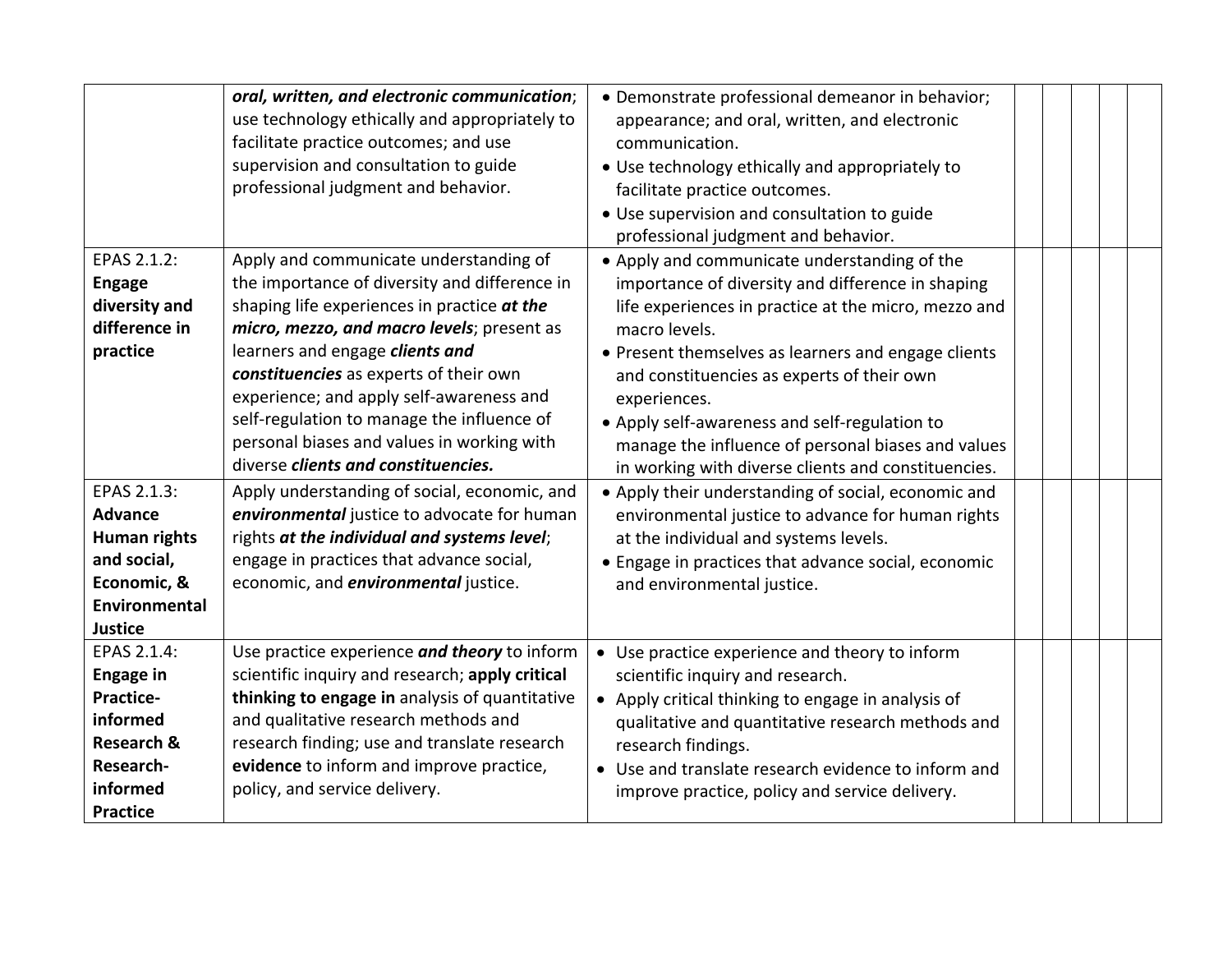|                       | oral, written, and electronic communication;    | · Demonstrate professional demeanor in behavior;     |  |  |  |
|-----------------------|-------------------------------------------------|------------------------------------------------------|--|--|--|
|                       | use technology ethically and appropriately to   | appearance; and oral, written, and electronic        |  |  |  |
|                       | facilitate practice outcomes; and use           | communication.                                       |  |  |  |
|                       | supervision and consultation to guide           | • Use technology ethically and appropriately to      |  |  |  |
|                       | professional judgment and behavior.             | facilitate practice outcomes.                        |  |  |  |
|                       |                                                 | • Use supervision and consultation to guide          |  |  |  |
|                       |                                                 | professional judgment and behavior.                  |  |  |  |
| EPAS 2.1.2:           | Apply and communicate understanding of          | • Apply and communicate understanding of the         |  |  |  |
| <b>Engage</b>         | the importance of diversity and difference in   | importance of diversity and difference in shaping    |  |  |  |
| diversity and         | shaping life experiences in practice at the     | life experiences in practice at the micro, mezzo and |  |  |  |
| difference in         | micro, mezzo, and macro levels; present as      | macro levels.                                        |  |  |  |
| practice              | learners and engage clients and                 | • Present themselves as learners and engage clients  |  |  |  |
|                       | constituencies as experts of their own          | and constituencies as experts of their own           |  |  |  |
|                       | experience; and apply self-awareness and        | experiences.                                         |  |  |  |
|                       | self-regulation to manage the influence of      | • Apply self-awareness and self-regulation to        |  |  |  |
|                       | personal biases and values in working with      | manage the influence of personal biases and values   |  |  |  |
|                       | diverse clients and constituencies.             | in working with diverse clients and constituencies.  |  |  |  |
| EPAS 2.1.3:           | Apply understanding of social, economic, and    | • Apply their understanding of social, economic and  |  |  |  |
| <b>Advance</b>        | environmental justice to advocate for human     | environmental justice to advance for human rights    |  |  |  |
| Human rights          | rights at the individual and systems level;     | at the individual and systems levels.                |  |  |  |
| and social,           | engage in practices that advance social,        | • Engage in practices that advance social, economic  |  |  |  |
| Economic, &           | economic, and <i>environmental</i> justice.     | and environmental justice.                           |  |  |  |
| Environmental         |                                                 |                                                      |  |  |  |
| <b>Justice</b>        |                                                 |                                                      |  |  |  |
| EPAS 2.1.4:           | Use practice experience and theory to inform    | • Use practice experience and theory to inform       |  |  |  |
| <b>Engage in</b>      | scientific inquiry and research; apply critical | scientific inquiry and research.                     |  |  |  |
| Practice-             | thinking to engage in analysis of quantitative  | • Apply critical thinking to engage in analysis of   |  |  |  |
| informed              | and qualitative research methods and            | qualitative and quantitative research methods and    |  |  |  |
| <b>Research &amp;</b> | research finding; use and translate research    | research findings.                                   |  |  |  |
| Research-             | evidence to inform and improve practice,        | • Use and translate research evidence to inform and  |  |  |  |
| informed              | policy, and service delivery.                   | improve practice, policy and service delivery.       |  |  |  |
| <b>Practice</b>       |                                                 |                                                      |  |  |  |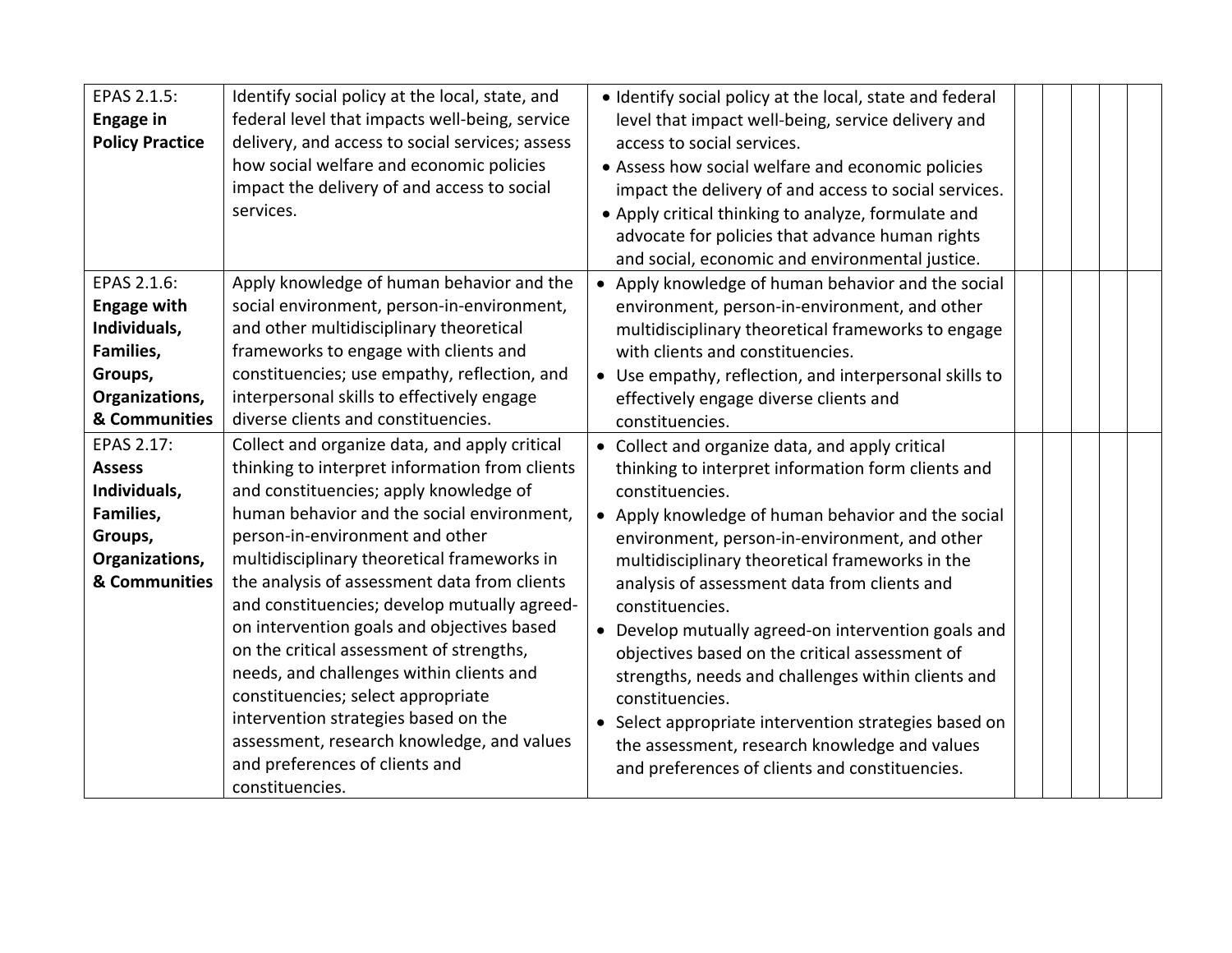| EPAS 2.1.5:<br><b>Engage in</b><br><b>Policy Practice</b>                                                    | Identify social policy at the local, state, and<br>federal level that impacts well-being, service<br>delivery, and access to social services; assess<br>how social welfare and economic policies<br>impact the delivery of and access to social<br>services.                                                                                                                                                                                                                                                                                                                                                                                                                                     | · Identify social policy at the local, state and federal<br>level that impact well-being, service delivery and<br>access to social services.<br>• Assess how social welfare and economic policies<br>impact the delivery of and access to social services.<br>• Apply critical thinking to analyze, formulate and<br>advocate for policies that advance human rights<br>and social, economic and environmental justice.                                                                                                                                                                                                                                                                           |  |  |
|--------------------------------------------------------------------------------------------------------------|--------------------------------------------------------------------------------------------------------------------------------------------------------------------------------------------------------------------------------------------------------------------------------------------------------------------------------------------------------------------------------------------------------------------------------------------------------------------------------------------------------------------------------------------------------------------------------------------------------------------------------------------------------------------------------------------------|---------------------------------------------------------------------------------------------------------------------------------------------------------------------------------------------------------------------------------------------------------------------------------------------------------------------------------------------------------------------------------------------------------------------------------------------------------------------------------------------------------------------------------------------------------------------------------------------------------------------------------------------------------------------------------------------------|--|--|
| EPAS 2.1.6:<br><b>Engage with</b><br>Individuals,<br>Families,<br>Groups,<br>Organizations,<br>& Communities | Apply knowledge of human behavior and the<br>social environment, person-in-environment,<br>and other multidisciplinary theoretical<br>frameworks to engage with clients and<br>constituencies; use empathy, reflection, and<br>interpersonal skills to effectively engage<br>diverse clients and constituencies.                                                                                                                                                                                                                                                                                                                                                                                 | • Apply knowledge of human behavior and the social<br>environment, person-in-environment, and other<br>multidisciplinary theoretical frameworks to engage<br>with clients and constituencies.<br>• Use empathy, reflection, and interpersonal skills to<br>effectively engage diverse clients and<br>constituencies.                                                                                                                                                                                                                                                                                                                                                                              |  |  |
| EPAS 2.17:<br><b>Assess</b><br>Individuals,<br>Families,<br>Groups,<br>Organizations,<br>& Communities       | Collect and organize data, and apply critical<br>thinking to interpret information from clients<br>and constituencies; apply knowledge of<br>human behavior and the social environment,<br>person-in-environment and other<br>multidisciplinary theoretical frameworks in<br>the analysis of assessment data from clients<br>and constituencies; develop mutually agreed-<br>on intervention goals and objectives based<br>on the critical assessment of strengths,<br>needs, and challenges within clients and<br>constituencies; select appropriate<br>intervention strategies based on the<br>assessment, research knowledge, and values<br>and preferences of clients and<br>constituencies. | • Collect and organize data, and apply critical<br>thinking to interpret information form clients and<br>constituencies.<br>• Apply knowledge of human behavior and the social<br>environment, person-in-environment, and other<br>multidisciplinary theoretical frameworks in the<br>analysis of assessment data from clients and<br>constituencies.<br>Develop mutually agreed-on intervention goals and<br>objectives based on the critical assessment of<br>strengths, needs and challenges within clients and<br>constituencies.<br>• Select appropriate intervention strategies based on<br>the assessment, research knowledge and values<br>and preferences of clients and constituencies. |  |  |